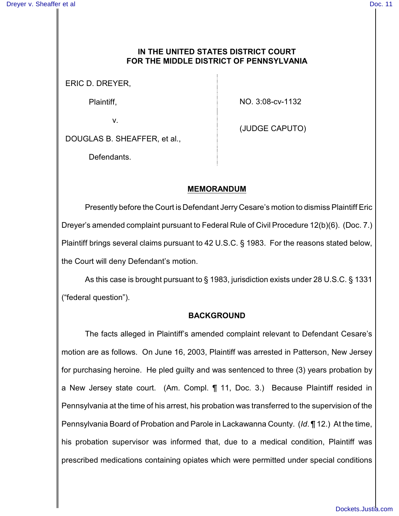## **IN THE UNITED STATES DISTRICT COURT FOR THE MIDDLE DISTRICT OF PENNSYLVANIA**

ERIC D. DREYER,

Plaintiff,

NO. 3:08-cv-1132

v.

(JUDGE CAPUTO)

DOUGLAS B. SHEAFFER, et al.,

Defendants.

## **MEMORANDUM**

Presently before the Court is Defendant Jerry Cesare's motion to dismiss Plaintiff Eric Dreyer's amended complaint pursuant to Federal Rule of Civil Procedure 12(b)(6). (Doc. 7.) Plaintiff brings several claims pursuant to 42 U.S.C. § 1983. For the reasons stated below, the Court will deny Defendant's motion.

As this case is brought pursuant to § 1983, jurisdiction exists under 28 U.S.C. § 1331 ("federal question").

## **BACKGROUND**

The facts alleged in Plaintiff's amended complaint relevant to Defendant Cesare's motion are as follows. On June 16, 2003, Plaintiff was arrested in Patterson, New Jersey for purchasing heroine. He pled guilty and was sentenced to three (3) years probation by a New Jersey state court. (Am. Compl. ¶ 11, Doc. 3.) Because Plaintiff resided in Pennsylvania at the time of his arrest, his probation was transferred to the supervision of the Pennsylvania Board of Probation and Parole in Lackawanna County. (*Id*. ¶ 12.) At the time, his probation supervisor was informed that, due to a medical condition, Plaintiff was prescribed medications containing opiates which were permitted under special conditions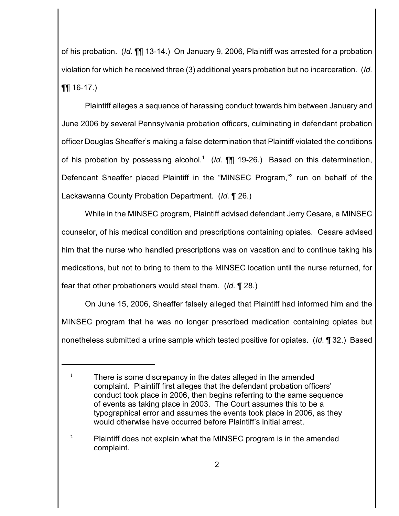of his probation. (*Id*. ¶¶ 13-14.) On January 9, 2006, Plaintiff was arrested for a probation violation for which he received three (3) additional years probation but no incarceration. (*Id*.  $\P\P$  16-17.)

Plaintiff alleges a sequence of harassing conduct towards him between January and June 2006 by several Pennsylvania probation officers, culminating in defendant probation officer Douglas Sheaffer's making a false determination that Plaintiff violated the conditions of his probation by possessing alcohol.<sup>1</sup> (*Id*. **[1]** 19-26.) Based on this determination, Defendant Sheaffer placed Plaintiff in the "MINSEC Program,"<sup>2</sup> run on behalf of the Lackawanna County Probation Department. (*Id.* ¶ 26.)

While in the MINSEC program, Plaintiff advised defendant Jerry Cesare, a MINSEC counselor, of his medical condition and prescriptions containing opiates. Cesare advised him that the nurse who handled prescriptions was on vacation and to continue taking his medications, but not to bring to them to the MINSEC location until the nurse returned, for fear that other probationers would steal them. (*Id*. ¶ 28.)

On June 15, 2006, Sheaffer falsely alleged that Plaintiff had informed him and the MINSEC program that he was no longer prescribed medication containing opiates but nonetheless submitted a urine sample which tested positive for opiates. (*Id*. ¶ 32.) Based

 $1$  There is some discrepancy in the dates alleged in the amended complaint. Plaintiff first alleges that the defendant probation officers' conduct took place in 2006, then begins referring to the same sequence of events as taking place in 2003. The Court assumes this to be a typographical error and assumes the events took place in 2006, as they would otherwise have occurred before Plaintiff's initial arrest.

 $P$ laintiff does not explain what the MINSEC program is in the amended complaint.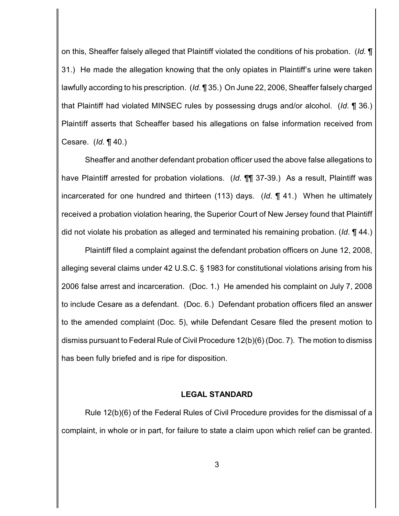on this, Sheaffer falsely alleged that Plaintiff violated the conditions of his probation. (*Id.* ¶ 31.) He made the allegation knowing that the only opiates in Plaintiff's urine were taken lawfully according to his prescription. (*Id*. ¶ 35.) On June 22, 2006, Sheaffer falsely charged that Plaintiff had violated MINSEC rules by possessing drugs and/or alcohol. (*Id*. ¶ 36.) Plaintiff asserts that Scheaffer based his allegations on false information received from Cesare. (*Id*. ¶ 40.)

Sheaffer and another defendant probation officer used the above false allegations to have Plaintiff arrested for probation violations. (*Id*. ¶¶ 37-39.) As a result, Plaintiff was incarcerated for one hundred and thirteen (113) days. (*Id*. ¶ 41.) When he ultimately received a probation violation hearing, the Superior Court of New Jersey found that Plaintiff did not violate his probation as alleged and terminated his remaining probation. (*Id*. ¶ 44.)

Plaintiff filed a complaint against the defendant probation officers on June 12, 2008, alleging several claims under 42 U.S.C. § 1983 for constitutional violations arising from his 2006 false arrest and incarceration. (Doc. 1.) He amended his complaint on July 7, 2008 to include Cesare as a defendant. (Doc. 6.) Defendant probation officers filed an answer to the amended complaint (Doc. 5), while Defendant Cesare filed the present motion to dismiss pursuant to Federal Rule of Civil Procedure 12(b)(6) (Doc. 7). The motion to dismiss has been fully briefed and is ripe for disposition.

#### **LEGAL STANDARD**

Rule 12(b)(6) of the Federal Rules of Civil Procedure provides for the dismissal of a complaint, in whole or in part, for failure to state a claim upon which relief can be granted.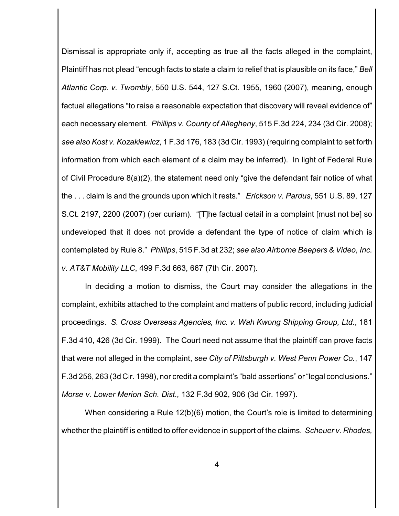Dismissal is appropriate only if, accepting as true all the facts alleged in the complaint, Plaintiff has not plead "enough facts to state a claim to relief that is plausible on its face," *Bell Atlantic Corp. v. Twombly*, 550 U.S. 544, 127 S.Ct. 1955, 1960 (2007), meaning, enough factual allegations "to raise a reasonable expectation that discovery will reveal evidence of" each necessary element. *Phillips v. County of Allegheny*, 515 F.3d 224, 234 (3d Cir. 2008); *see also Kost v. Kozakiewicz*, 1 F.3d 176, 183 (3d Cir. 1993) (requiring complaint to set forth information from which each element of a claim may be inferred). In light of Federal Rule of Civil Procedure 8(a)(2), the statement need only "give the defendant fair notice of what the . . . claim is and the grounds upon which it rests." *Erickson v. Pardus*, 551 U.S. 89, 127 S.Ct. 2197, 2200 (2007) (per curiam). "[T]he factual detail in a complaint [must not be] so undeveloped that it does not provide a defendant the type of notice of claim which is contemplated by Rule 8." *Phillips*, 515 F.3d at 232; *see also Airborne Beepers & Video, Inc. v. AT&T Mobility LLC*, 499 F.3d 663, 667 (7th Cir. 2007).

In deciding a motion to dismiss, the Court may consider the allegations in the complaint, exhibits attached to the complaint and matters of public record, including judicial proceedings. *S. Cross Overseas Agencies, Inc. v. Wah Kwong Shipping Group, Ltd.*, 181 F.3d 410, 426 (3d Cir. 1999). The Court need not assume that the plaintiff can prove facts that were not alleged in the complaint, *see City of Pittsburgh v. West Penn Power Co.*, 147 F.3d 256, 263 (3d Cir. 1998), nor credit a complaint's "bald assertions" or "legal conclusions." *Morse v. Lower Merion Sch. Dist.,* 132 F.3d 902, 906 (3d Cir. 1997).

When considering a Rule 12(b)(6) motion, the Court's role is limited to determining whether the plaintiff is entitled to offer evidence in support of the claims. *Scheuer v. Rhodes,*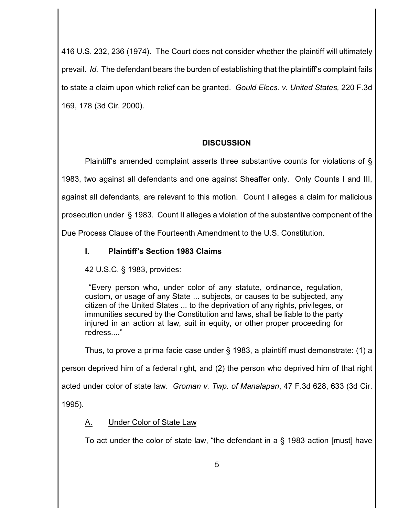416 U.S. 232, 236 (1974). The Court does not consider whether the plaintiff will ultimately prevail. *Id.* The defendant bears the burden of establishing that the plaintiff's complaint fails to state a claim upon which relief can be granted. *Gould Elecs. v. United States,* 220 F.3d 169, 178 (3d Cir. 2000).

# **DISCUSSION**

Plaintiff's amended complaint asserts three substantive counts for violations of § 1983, two against all defendants and one against Sheaffer only. Only Counts I and III, against all defendants, are relevant to this motion. Count I alleges a claim for malicious prosecution under § 1983. Count II alleges a violation of the substantive component of the Due Process Clause of the Fourteenth Amendment to the U.S. Constitution.

# **I. Plaintiff's Section 1983 Claims**

42 U.S.C. § 1983, provides:

 "Every person who, under color of any statute, ordinance, regulation, custom, or usage of any State ... subjects, or causes to be subjected, any citizen of the United States ... to the deprivation of any rights, privileges, or immunities secured by the Constitution and laws, shall be liable to the party injured in an action at law, suit in equity, or other proper proceeding for redress...."

Thus, to prove a prima facie case under § 1983, a plaintiff must demonstrate: (1) a person deprived him of a federal right, and (2) the person who deprived him of that right acted under color of state law. *Groman v. Twp. of Manalapan*, 47 F.3d 628, 633 (3d Cir. 1995).

# A. Under Color of State Law

To act under the color of state law, "the defendant in a § 1983 action [must] have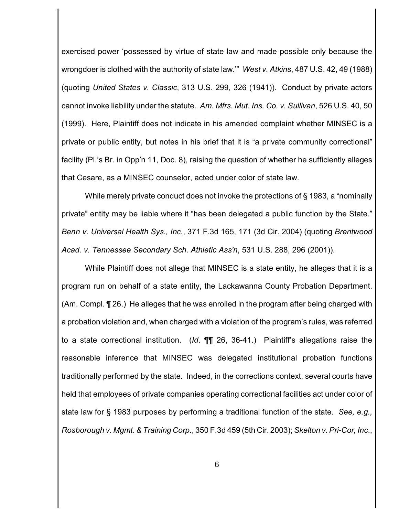exercised power 'possessed by virtue of state law and made possible only because the wrongdoer is clothed with the authority of state law.'" *West v. Atkins*, 487 U.S. 42, 49 (1988) (quoting *United States v. Classic*, 313 U.S. 299, 326 (1941)). Conduct by private actors cannot invoke liability under the statute. *Am. Mfrs. Mut. Ins. Co. v. Sullivan*, 526 U.S. 40, 50 (1999). Here, Plaintiff does not indicate in his amended complaint whether MINSEC is a private or public entity, but notes in his brief that it is "a private community correctional" facility (Pl.'s Br. in Opp'n 11, Doc. 8), raising the question of whether he sufficiently alleges that Cesare, as a MINSEC counselor, acted under color of state law.

While merely private conduct does not invoke the protections of § 1983, a "nominally private" entity may be liable where it "has been delegated a public function by the State." *Benn v. Universal Health Sys., Inc.*, 371 F.3d 165, 171 (3d Cir. 2004) (quoting *Brentwood Acad. v. Tennessee Secondary Sch. Athletic Ass'n*, 531 U.S. 288, 296 (2001)).

While Plaintiff does not allege that MINSEC is a state entity, he alleges that it is a program run on behalf of a state entity, the Lackawanna County Probation Department. (Am. Compl. ¶ 26.) He alleges that he was enrolled in the program after being charged with a probation violation and, when charged with a violation of the program's rules, was referred to a state correctional institution. (*Id*. ¶¶ 26, 36-41.) Plaintiff's allegations raise the reasonable inference that MINSEC was delegated institutional probation functions traditionally performed by the state. Indeed, in the corrections context, several courts have held that employees of private companies operating correctional facilities act under color of state law for § 1983 purposes by performing a traditional function of the state. *See, e.g., Rosborough v. Mgmt*. *& Training Corp*., 350 F.3d 459 (5th Cir. 2003); *Skelton v. Pri-Cor, Inc*.,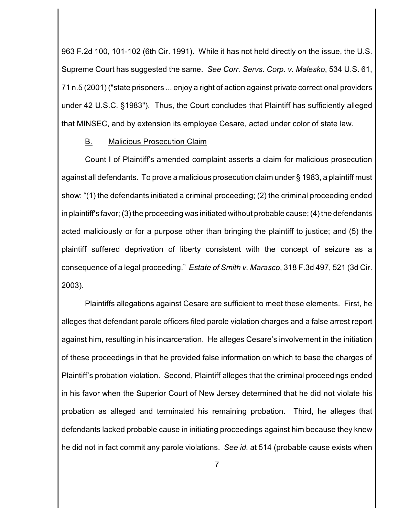963 F.2d 100, 101-102 (6th Cir. 1991). While it has not held directly on the issue, the U.S. Supreme Court has suggested the same. *See Corr. Servs. Corp. v. Malesko*, 534 U.S. 61, 71 n.5 (2001) ("state prisoners ... enjoy a right of action against private correctional providers under 42 U.S.C. §1983"). Thus, the Court concludes that Plaintiff has sufficiently alleged that MINSEC, and by extension its employee Cesare, acted under color of state law.

#### B. Malicious Prosecution Claim

Count I of Plaintiff's amended complaint asserts a claim for malicious prosecution against all defendants. To prove a malicious prosecution claim under § 1983, a plaintiff must show: "(1) the defendants initiated a criminal proceeding; (2) the criminal proceeding ended in plaintiff's favor; (3) the proceeding was initiated without probable cause; (4) the defendants acted maliciously or for a purpose other than bringing the plaintiff to justice; and (5) the plaintiff suffered deprivation of liberty consistent with the concept of seizure as a consequence of a legal proceeding." *Estate of Smith v. Marasco*, 318 F.3d 497, 521 (3d Cir. 2003).

Plaintiffs allegations against Cesare are sufficient to meet these elements. First, he alleges that defendant parole officers filed parole violation charges and a false arrest report against him, resulting in his incarceration. He alleges Cesare's involvement in the initiation of these proceedings in that he provided false information on which to base the charges of Plaintiff's probation violation. Second, Plaintiff alleges that the criminal proceedings ended in his favor when the Superior Court of New Jersey determined that he did not violate his probation as alleged and terminated his remaining probation. Third, he alleges that defendants lacked probable cause in initiating proceedings against him because they knew he did not in fact commit any parole violations. *See id.* at 514 (probable cause exists when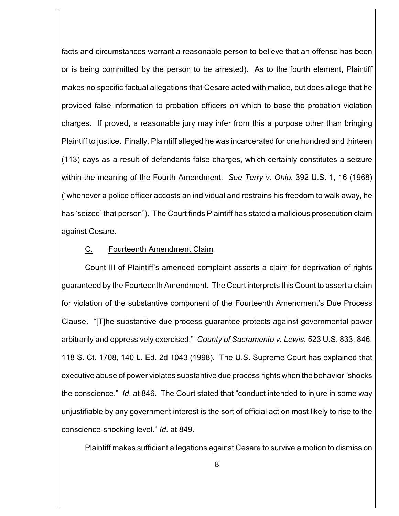facts and circumstances warrant a reasonable person to believe that an offense has been or is being committed by the person to be arrested). As to the fourth element, Plaintiff makes no specific factual allegations that Cesare acted with malice, but does allege that he provided false information to probation officers on which to base the probation violation charges. If proved, a reasonable jury may infer from this a purpose other than bringing Plaintiff to justice. Finally, Plaintiff alleged he was incarcerated for one hundred and thirteen (113) days as a result of defendants false charges, which certainly constitutes a seizure within the meaning of the Fourth Amendment. *See Terry v. Ohio*, 392 U.S. 1, 16 (1968) ("whenever a police officer accosts an individual and restrains his freedom to walk away, he has 'seized' that person"). The Court finds Plaintiff has stated a malicious prosecution claim against Cesare.

#### C. Fourteenth Amendment Claim

Count III of Plaintiff's amended complaint asserts a claim for deprivation of rights guaranteed by the Fourteenth Amendment. The Court interprets this Count to assert a claim for violation of the substantive component of the Fourteenth Amendment's Due Process Clause. "[T]he substantive due process guarantee protects against governmental power arbitrarily and oppressively exercised." *County of Sacramento v. Lewis*, 523 U.S. 833, 846, 118 S. Ct. 1708, 140 L. Ed. 2d 1043 (1998). The U.S. Supreme Court has explained that executive abuse of power violates substantive due process rights when the behavior "shocks the conscience." *Id*. at 846. The Court stated that "conduct intended to injure in some way unjustifiable by any government interest is the sort of official action most likely to rise to the conscience-shocking level." *Id*. at 849.

Plaintiff makes sufficient allegations against Cesare to survive a motion to dismiss on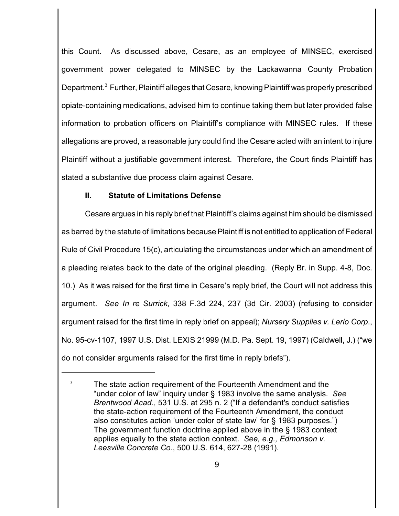this Count. As discussed above, Cesare, as an employee of MINSEC, exercised government power delegated to MINSEC by the Lackawanna County Probation Department.<sup>3</sup> Further, Plaintiff alleges that Cesare, knowing Plaintiff was properly prescribed opiate-containing medications, advised him to continue taking them but later provided false information to probation officers on Plaintiff's compliance with MINSEC rules. If these allegations are proved, a reasonable jury could find the Cesare acted with an intent to injure Plaintiff without a justifiable government interest. Therefore, the Court finds Plaintiff has stated a substantive due process claim against Cesare.

### **II. Statute of Limitations Defense**

Cesare argues in his reply brief that Plaintiff's claims against him should be dismissed as barred by the statute of limitations because Plaintiff is not entitled to application of Federal Rule of Civil Procedure 15(c), articulating the circumstances under which an amendment of a pleading relates back to the date of the original pleading. (Reply Br. in Supp. 4-8, Doc. 10.) As it was raised for the first time in Cesare's reply brief, the Court will not address this argument. *See In re Surrick*, 338 F.3d 224, 237 (3d Cir. 2003) (refusing to consider argument raised for the first time in reply brief on appeal); *Nursery Supplies v. Lerio Corp*., No. 95-cv-1107, 1997 U.S. Dist. LEXIS 21999 (M.D. Pa. Sept. 19, 1997) (Caldwell, J.) ("we do not consider arguments raised for the first time in reply briefs").

 $3$  The state action requirement of the Fourteenth Amendment and the "under color of law" inquiry under § 1983 involve the same analysis. *See Brentwood Acad*., 531 U.S. at 295 n. 2 ("If a defendant's conduct satisfies the state-action requirement of the Fourteenth Amendment, the conduct also constitutes action 'under color of state law' for § 1983 purposes.") The government function doctrine applied above in the § 1983 context applies equally to the state action context. *See, e.g., Edmonson v. Leesville Concrete Co.*, 500 U.S. 614, 627-28 (1991).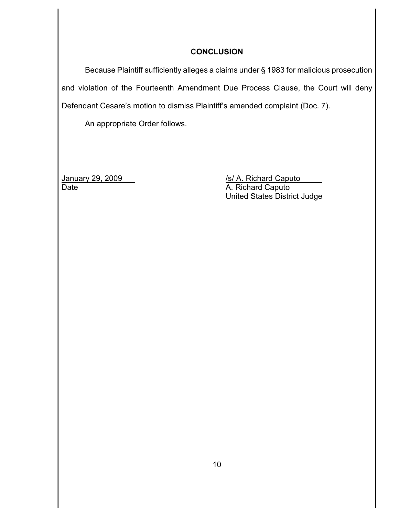## **CONCLUSION**

Because Plaintiff sufficiently alleges a claims under § 1983 for malicious prosecution and violation of the Fourteenth Amendment Due Process Clause, the Court will deny Defendant Cesare's motion to dismiss Plaintiff's amended complaint (Doc. 7).

An appropriate Order follows.

Date **A. Richard Caputo** 

January 29, 2009 /s/ A. Richard Caputo United States District Judge